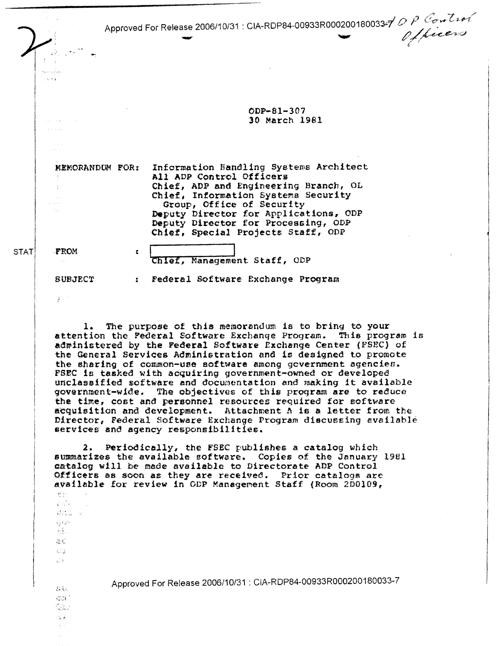Approved For Release 2006/10/31: CIA-RDP84-00933R0002001800334 DP Control

ODP-81-307 30 March 1981

MEMORANDUM FOR:

 $\mathbf{r}$ 

Information Handling Systems Architect All ADP Control Officers Chief, ADP and Engineering Branch, OL Chief, Information Systems Security Group, Office of Security Deputy Director for Applications, ODP Deputy Director for Processing, ODP<br>Chief, Special Projects Staff, ODP

**STAT** 

.<br>Andre Ar  $\sim 3.1$ 

Chief, Management Staff, ODP

: Federal Software Exchange Program

**SUBJECT** 

FROM

 $\hat{\mathcal{E}}$ 

地址  $\frac{1}{4}(\frac{1}{2},\frac{1}{2})$ 转换。  $\mathbf{q}$ 

خرنوي  $\frac{1}{2} \sqrt{\frac{2}{3}}$  ).  $\mathcal{D}_\mathrm{c}$  ,  $\mathcal{E}$  $L^2\downarrow$  $\frac{1}{2\sqrt{3}}\frac{\lambda}{3}$ 

**忘記**  $\mathcal{L}^{\text{exp}}_{\text{eff}}$  . Qav 89  $\mathcal{F}^{\mathcal{A}}_{\mathcal{A}}$  ,

The purpose of this memorandum is to bring to your  $1.$ attention the Federal Software Exchange Program. This program is administered by the Federal Software Exchange Center (FSEC) of the General Services Administration and is designed to promote the sharing of common-use software among government agencies. FSEC is tasked with acquiring government-owned or developed unclassified software and documentation and making it available government-wide. The objectives of this program are to reduce the time, cost and personnel resources required for software acquisition and development. Attachment A is a letter from the Director, Federal Software Exchange Program discussing available services and agency responsibilities.

Periodically, the FSEC publishes a catalog which  $2.$ summarizes the available software. Copies of the January 1981 catalog will be made available to Directorate ADP Control Officers as soon as they are received. Prior catalogs are available for review in ODP Management Staff (Room 2D0109,

Approved For Release 2006/10/31 : CIA-RDP84-00933R000200180033-7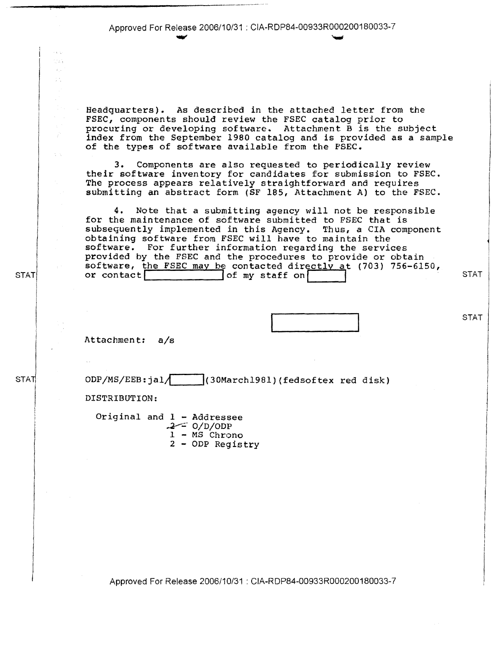Approved For Release 2006/10/31 : CIA-RDP84-00933R000200180033-7 ..., ,.,..

Headquarters). As described in the attached letter from the FSEC, components should review the FSEC catalog prior to procuring or developing software. Attachment Bis the subject index from the September 1980 catalog and is provided as a sample of the types of software available from the F'SEC.

3. Components are also requested to periodically review their software inventory for candidates for submission to FSEC. The process appears relatively straightforward and requires submitting an abstract form (SF 185, Attachment A) to the FSEC.

**4.** Note that a submitting agency will not be responsible for the maintenance of software submitted to FSEC that is subsequently implemented in this Agency. Thus, a CIA component obtaining software from FSEC will have to maintain the software. For further information regarding the services provided by the FSEC and the procedures to provide or obtain software, the FSEC may be contacted directly at (703) 756-6150<br>or contact some staff on staff on

STAT

**STAT** 

Attachment: a/s

ODP/MS/EEB:jal/ |(30March1981)(fedsoftex red disk)

DISTRIBUTION:

Original and  $1 -$  Addressee  $.2 - 0/D/ODP$  $1 - MS$  Chrono

**2** - ODP Registry

Approved For Release 2006/10/31 : CIA-RDP84-00933R000200180033-7

**STAT** 

STAT

e.<br>C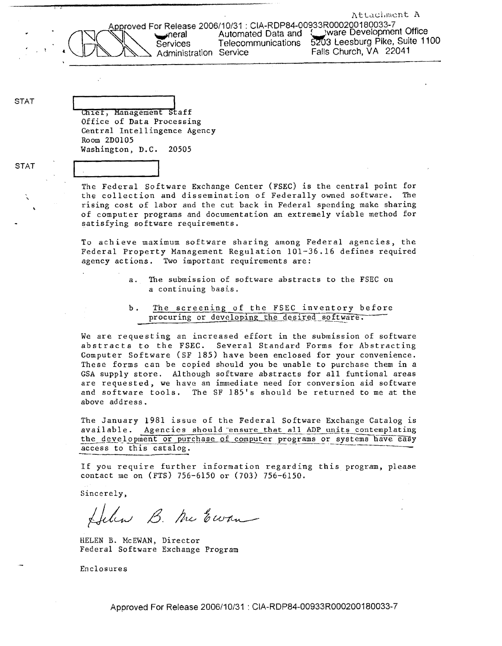Attachment A

Approved For Release 2006/10/31 : CIA-RDP84-00933R000200180033-7<br>Automated Data and Suivare Development Office Administration Service

ware Development Office meral Automated Data and a universively of the Services Telecommunications  $\frac{1}{200}$  Leesburg Pike, Suite 1100<br>Administration Service Falls Church, VA 22041

STAT

 $\Big($ 

chief, Management staff Office of Data Processing Central Intellingence Agency Room 200105 Washington, D.C. *20505* 

STAT

The Federal Software Exchange Center (FSEC} is the central point for the collection and dissemination of Federally owned software, The rising cost of labor and the cut back in Federal spending make sharing of computer programs and documentation an extremely viable method for satisfying software requirements.

To achieve maximum software sharing among Federal agencies, the Federal Property Management Regulation 101-36.16 defines required agency actions. Two important requirements are:

- a. The submission of software abstracts to the FSEC on *a* continuing basis.
- b. The screening of the FSEC inventory before procuring or developing the desired software.

We are requesting an increased effort in the submission of software abstracts to the FSEC. Several Standard Forms for Abstracting Computer Software (SF 185) have been enclosed for your convenience. These forms can be copied should you be unable to purchase them in *a*  GSA supply store. Although software abstracts for all funtional areas are requested, we have an immediate need for conversion aid software and software tools, The SF 185's should be returned to me at the above address.

The January 1981 issue of the Federal Software Exchange Catalog is available. Agencies should ensure that all ADP units contemplating the development or purchase of computer programs or systems have easy access to this catalog.

If you require further information regarding this program, please contact me on (FTS) 756-6150 or (703) 756-6150.

Sincerely,

Helen B. Me Ewan

HELEN B. McEWAN, Director Federal Software Exchange Program

Enclosures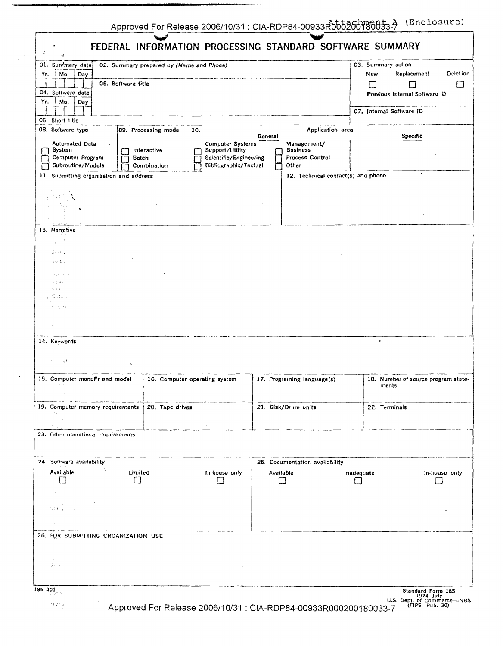L.

 $\hat{\mathcal{F}}_{\text{A}}$  . C. Paul

|                                                                                                                        |                                                  |                                     | FEDERAL INFORMATION PROCESSING STANDARD SOFTWARE SUMMARY                                      |                 |                                                            |            |                          |                                                                                  |                |
|------------------------------------------------------------------------------------------------------------------------|--------------------------------------------------|-------------------------------------|-----------------------------------------------------------------------------------------------|-----------------|------------------------------------------------------------|------------|--------------------------|----------------------------------------------------------------------------------|----------------|
| 01. Sun <sup>+</sup> mary date<br>02. Summary prepared by (Name and Phone).<br>Yr.<br>Mo.<br>Day<br>05. Software title |                                                  |                                     |                                                                                               |                 |                                                            |            |                          | 03. Summary action<br>Replacement<br>ŧ.                                          | Deletion<br>ΙI |
| 04. Software date<br>Mo.<br>Yr.<br>Day                                                                                 |                                                  |                                     |                                                                                               |                 |                                                            |            |                          | Previous Internal Software ID                                                    |                |
| 06. Short title                                                                                                        |                                                  |                                     |                                                                                               |                 |                                                            |            | 07. Internal Software ID |                                                                                  |                |
| 08. Software type                                                                                                      |                                                  | 09. Processing mode                 | 10.                                                                                           | General         | Application area                                           |            |                          | Specific                                                                         |                |
| Automated Data<br>System<br>Computer Program<br>Subroutine/Module                                                      | $\blacksquare$                                   | Interactive<br>Batch<br>Combination | <b>Computer Systems</b><br>Support/Utility<br>Scientific/Engineering<br>Bibliographic/Textual |                 | Management/<br><b>Business</b><br>Process Control<br>Other |            |                          |                                                                                  |                |
|                                                                                                                        | 11. Submitting organization and address          |                                     |                                                                                               |                 | 12. Technical contact(s) and phone                         |            |                          |                                                                                  |                |
| medicin                                                                                                                |                                                  |                                     |                                                                                               |                 |                                                            |            |                          |                                                                                  |                |
| 13. Narrative                                                                                                          |                                                  |                                     |                                                                                               |                 |                                                            |            |                          |                                                                                  |                |
| ÷<br>$\mathcal{A}$<br>di ort<br>$\mathcal{F}^{1,0}_{\infty,\ell}$ , $\mathcal{L}_1$                                    |                                                  |                                     |                                                                                               |                 |                                                            |            |                          |                                                                                  |                |
| 752393 pm<br>14 S.I<br>$\mathbf{t} \in \mathcal{C}$ .<br>0stae                                                         |                                                  |                                     |                                                                                               |                 |                                                            |            |                          |                                                                                  |                |
| Sugar.<br>$\sim 30-10$                                                                                                 |                                                  |                                     |                                                                                               |                 |                                                            |            |                          |                                                                                  |                |
| 14. Keywords<br>Maria 1<br>不可 电回数                                                                                      |                                                  |                                     |                                                                                               |                 |                                                            |            |                          |                                                                                  |                |
|                                                                                                                        | 15. Computer manuf'r and model                   |                                     | 16. Computer operating system                                                                 |                 | 17. Programing language(s)                                 |            | ments                    | 18. Number of source program state-                                              |                |
| <b>ACT</b><br>$\mathcal{F}_{\mathcal{A},\mathcal{A},\mathcal{A},\mathcal{A},\mathcal{A}}$                              | 19. Computer memory requirements                 | 20. Tape drives                     |                                                                                               |                 | 21. Disk/Drum units                                        |            | 22. Terminals            |                                                                                  |                |
|                                                                                                                        | 23. Other operational requirements               |                                     |                                                                                               |                 |                                                            |            |                          |                                                                                  |                |
| 24. Software availability                                                                                              |                                                  |                                     | 25. Documentation availability                                                                |                 |                                                            |            |                          |                                                                                  |                |
| Available<br>$\blacksquare$<br>$\mathcal{O}(\mathcal{A})$                                                              |                                                  | Limited<br>IJ                       | In-house only<br>Ħ                                                                            | Available<br>LГ |                                                            | Inadequate |                          |                                                                                  | In-house only  |
| $\alpha$ , $\alpha$ , $\beta$<br>$\mathcal{G}_{\mathcal{C}}(\mathcal{M})_{\mathcal{F}}(\mathcal{C})\subset\mathcal{C}$ |                                                  |                                     |                                                                                               |                 |                                                            |            |                          |                                                                                  |                |
|                                                                                                                        | 26. FOR SUBMITTING ORGANIZATION USE              |                                     |                                                                                               |                 |                                                            |            |                          |                                                                                  |                |
| $\sim$ $\sim$<br>$\Delta=10^6$ , and<br>såstare gjor                                                                   | $\sim 10^6$<br>and state and state<br>$\sim 100$ |                                     |                                                                                               |                 |                                                            |            |                          |                                                                                  |                |
| $185 - 101$<br>白尾さんぶ!                                                                                                  |                                                  |                                     | Approved For Release 2006/10/31 : CIA-RDP84-00933R000200180033-7                              |                 |                                                            |            |                          | Standard Form 185<br>1974 July<br>U.S. Dept. of Commerce--NBS<br>(FIPS, Pub. 30) |                |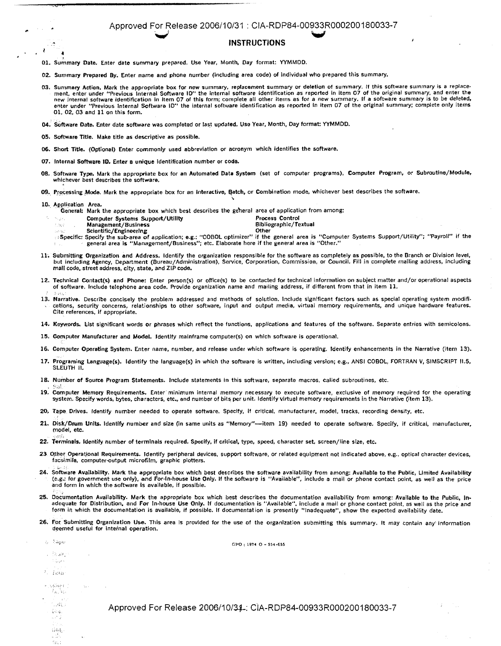## Approved For Release 2006/10/31 : CIA-RDP84-00933R000200180033-7 ~ **w**

## **INSTRUCTIONS**

01. Summary Date. Enter date summary prepared. Use Year, Month, Day format: YYMMDD.

- 02. Summary Prepared By. Enter name and phone number (including area code) of Individual who prepared this summary.
- .03. Summary Action, Mark the appropriate box for new summary, replacement summary or deletion of summary. If this software summary is a replace-<br>ment, enter under "Previous Internal Software ID" the internal software iden new internal software identification in Item 07 of this form; complete all other items as for a new summary. If a software summary is to be deleted, enter under "Previous Internal Software ID'' the Internal software identification as reported In Item 07 of the original summary; complete only Items 01, 02, 03 and 11 on this form.
- 04. Software Date. Enter date software was completed or last updated. Use Year, Month, Day format: YYMMDD.
- 05. Software Title. Make title as descriptive as possible.
- 06. Short Title. (Optional) Enter commonly used abbreviation or acronym which identifies the software,
- 07, Internal Software 10. Enter a unique identification number or code.
- OB. Software Type. Mark the appropriate box for an Automated Data System (set of computer programs), Computer Program, or Subroutine/Module, whichever best describes the software.
- 09. Processing Mode. Mark the appropriate box for an Interactive, Batch, or Combination mode, whichever best describes the software.

10. Application Area.

Nuse 1.367

~

 $\sim 10$ 

 $\mathcal{L}^{\mathcal{A}}$ 

- General: Mark the appropriate box which best describes the ge'heral area of application from among:
	- Computer Systems Support/Utility entity of the Process Control Process Control Management/Business
	- Management/Business **Bibliographic/Textual**<br>Scientific/Engineering **Bibliographic** Content
	-
- ு scientific/Engineering<br>ाSpecific: Specify the sub-area of application; e.g.: "COBOL optimizer" if the general area is "Computer Systems Support/Utility"; "Payrol!" if the (الجمع) specific: Specify the sub-area of applic
- 11. Submitting Organization and Address, Identify the organization responsible for the software as completely as possible, to the Branch or Division level,<br>but including Agency, Department (Bureau/Administration), Service, mall code, street address, city, state, and ZIP code.
- 12.. Technical Contact(s) and Phone: Enter person(s) or office(s) to be contacted for technical information on subject matter and/or operational aspects of software. Include telephone area code. Provide organization name and mailing address, If different from that in Item 11.
- 13. Narrative. Describe concisely the problem addressed and methods of solution. Include significant factors such as special operating system modificatlons, security concerns, relationships to other software, Input and output media, virtual memory requirements, and unique hardware features. Cite references, If appropriate.
- **14,** Keywords. list significant words or phrases which reflect the functions, applications and features of the software. Separate entries with semicolons.
- 15. Computer Manufacturer and **Model.** Identify mainframe computer(s) on which software Is operational.
- **16.** Computer Operating System. Enter name, number, and release under which software is operating. Identify enhancements in the Narrative (Item 13).
- 17. Programing Language(s). Identify the language(s) in which the software is written, including version; e.g., ANSI COBOL, FORTRAN V, SIMSCRIPT 11.5, SLEUTH II.
- **18.** Number **of** Source Program Statements. Include statements in this software, separate macros, called subroutines, etc.
- **19.** Computer Memory Requirements, Enter minimum internal memory necessary to execute software, exclusive of memory required for the operating system. Specify words, bytes, characters, etc., and number of bits per unit, Identify virtual memory requirements in the Narrative (item 13).
- 20, Tape Drives. Identify number needed to operate software. Specify, if critical, manufacturer, model, tracks, recording density, etc.
- 21. Disk/Drum Units. Identify number and size (in same units as "Memory"—item 19) needed to operate software. Specify, if critical, manufacturer, model, etc.
- 22. Terminals. Identify number of terminals required. Specify, If critical, type, speed, character set, screen/line size, etc.
- 23. Other Operational Requirements. Identify peripheral devices, support software, or related equipment not indicated above, e.g., optical character devices, facsimile, computer-output microfilm, graphic plotters.
- 24. Software Availability. Mark the appropriate box which best describes the software availability from among: Available to the Public, Limited Availability (e.g,: for government use only), and For•ln-house Use Only. If the software is "Available'', include a mail or phone contact point, as well as the price and form in which the software is available, if possible.
- 25. Documentation Availability. Mark the appropriate box which best describes the documentation availability from among: Available to the Public, In-<br>adequate for Distribution, and For In-house Use Only. If documentation i form in which the documentation is available, If possible. If documentation is presently "Inadequate", show the expected availability date.
- 26. For Submitting Organization Use. This area is provided for the use of the organization submitting this summary. It may contain any information deemed useful for internal operation.

| ાં રિસફાયા                                                                  |                  | GPO: 1974 O - 554-655                                            |                  |
|-----------------------------------------------------------------------------|------------------|------------------------------------------------------------------|------------------|
| 1. 旅游品<br>فعوليت                                                            | $\sim$           |                                                                  |                  |
| a consultor<br>$\mathbb{R}^2 = \frac{3}{4} \otimes \mathbb{R} \mathbb{R}^2$ |                  |                                                                  |                  |
| i i parti.<br>Galeri                                                        | the Switz County |                                                                  |                  |
| in Alberta<br>1 กับเหมือง<br>i (Regi<br>Turij                               |                  | Approved For Release 2006/10/34.: CIA-RDP84-00933R000200180033-7 | in Sup<br>$\sim$ |
| i Sarah<br>Bagai<br>Sarah<br>fe.t                                           | $\Delta\omega$   |                                                                  |                  |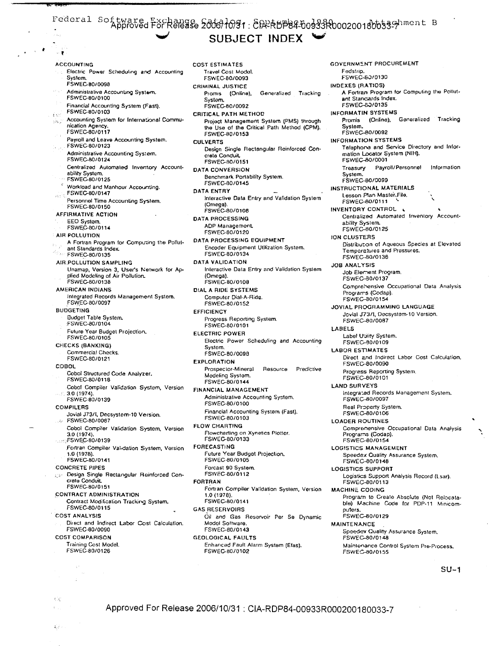## Federal Softwared FörRelegse 20001091: 8 RRABP84-00033R0002001800539Piment B SUBJECT INDEX

Electric Power Scheduling and Accounting System. FSWEC-80/0098 Administrative Accounting System.<br>FSWEC-80/0100 Financial Accounting System (Fast). FSWEC-80/0103  $\tilde{\chi}^0 \tilde{\chi}^{\mu\nu}$ Accounting System for International Commu-583 nication Agency FSWEC-80/0117 Payroll and Leave Accounting System. FSWEC-80/0123 Administrative Accounting System. FSWEC-80/0124 Centralized Automated Inverstory Accountability System.<br>FSWEC-80/0125 Workload and Manhour Accounting. FSWEC-80/0147 Personnel Time Accounting System. FSWEC-80/0150 **AFFIRMATIVE ACTION** EEO System. FSWEC-80/0114 AIR POLLUTION A Fortran Program for Computing the Pollutant Standards Index.  $\mathcal{A}_{\mathcal{L}_{\mathcal{M}}}$ FSWEC-80/0135 AIR:POLLUTION SAMPLING Unamap, Version 3, User's Network for Applied Modeling of Air Pollution. FSWEC-80/0138 **AMERICAN INDIANS** Integrated Records Management System. FSWEC-80/0097 **BUDGETING** Budget Table System. FSWEC-80/0104 Future Year Budget Projection. FSWEC-80/0105 CHECKS (BANKING) Commercial Checks. FSWEC-80/0121 **COBOL** Cobol Structured Code Analyzer. FSWEC-80/0118 Cobol Compiler Validation System, Version 3.0 (1974).<br>FSWEC-80/0139 **COMPILERS** Jovial J73/I, Decsystem-10 Version. FSWEC-80/0087 Cobol Compiler Validation System, Version 3.0.(1974) FSWEC-80/0139 Fortran Compiler Validation System, Version 1.0 (1978). FSWEC-80/0141 **CONCRETE PIPES** Design Single Rectangular Reinforced Concrate Conduit FSWEC-80/0151 **CONTRACT ADMINISTRATION** Contract Modification Tracking System, FSWEC-80/0115 **COST ANALYSIS** Direct and Indirect Labor Cost Calculation. FSWEC-80/0090 **COST COMPARISON** Training Cost Model. FSWEC-80/0126

 $\sim$   $\sim$   $\sim$ 

 $\sim 1$ 

 $\mathbb{C}[\mathfrak{c}]$ 

 $\mathbf{K}^{(1)}$ 

**ACCOUNTING** 

**COST ESTIMATES** Travel Cost Model. FSWEC-80/0093 CRIMINAL JUSTICE Promis (Online), Generalized Tracking System. FSWEC-80/0092 CRITICAL PATH METHOD Project Management System (PMS) through the Use of the Critical Path Method (CPM). FSWEC-80/0153 **CULVERTS** Design Single Rectangular Reinforced Concrata Conduit FSWEC-80/0151 **DATA CONVERSION** Benchmark Portability System. FSWEC-80/0145 **DATA ENTRY** Interactive Data Entry and Validation System (Omega). FSWEC-80/0108 **DATA PROCESSING** ADP Management. FSWEC-80/0120 DATA PROCESSING EQUIPMENT Encoder Equipment Utilization System. FSWEC-80/0134 DATA VALIDATION Interactive Data Entry and Validation System (Omega). FSWEC-80/0108 DIAL A RIDE SYSTEMS Computer Dial-A-Ride. FSWEC-80/0152 **EFFICIENCY** Progress Reporting System. FSWEC-80/0101 **ELECTRIC POWER** Electric Power Scheduling and Accounting System. FSWEC-80/0098 **EXPLORATION** Prospector-Mineral Resource Predictive Modeling System. FSWEC-80/0144 **FINANCIAL MANAGEMENT** Administrative Accounting System. FSWEC-80/0100 Financial Accounting System (Fast). FSWEC-80/0103 **FLOW CHARTING** Flowcharting on Xynetics Plotter. FSWEC-80/0133 **FORECASTING** Future Year Budget Projection. FSWEC-80/0105 Forcast 90 System. FSWEC-80/0112 **FORTRAN** Fortran Compiler Validation System, Version 1.0 (1978). FSWEC-80/0141 **GAS RESERVOIRS** Oil and Gas Reservoir Per Se Dynamic Modol Software. FSWEC-80/0143 **GEOLOGICAL FAULTS** 

Enhanced Fault Alarm System (Efas). FSWEC-80/0102

**GOVERNMENT PROCUREMENT** Fedstrip. FSWEC-80/0130 **INDEXES (RATIOS)** A Fortran Program for Computing the Pollutant Stancards Index. FSWEC-60/0135 **INFORMATIN SYSTEMS** Promis (Online), Generalized Tracking System. FSWEC-80/0092 **INFORMATION SYSTEMS** Telephona and Service Directory and Information Locator System (NIH). FSWEC-80/0001 Treasury Payroll/Personnel Information System. FSWEC-80/0099 **INSTRUCTIONAL MATERIALS** Lesson Plan Master, File, FSWEC-80/0111 INVENTORY CONTROL Centralized Automated Inventory Accountability System.<br>FSWEC-80/0125 **ION CLUSTERS** Distribution of Aqueous Species at Elevated Temperatures and Pressures. FSWEC-80/0136 **JOB ANALYSIS** Job Element Program. FSWEC-30/0137 Comprehensive Occupational Data Analysis Programs (Codap). FSWEC-30/0154 **JOVIAL PROGRAMMING LANGUAGE** Jovial J73/I, Decsystem-10 Version. FSWEC-80/0087 LABELS Label Utility System. FSWEC-80/0109 **LABOR ESTIMATES** Direct and Indirect Labor Cost Calculation, FSWEC-80/0090 Progress Reporting System. FSWEC-80/0101 **LAND SURVEYS** Integrated Records Management System, FSWEC-80/0097 Real Property System. FSWEC-80/0106 **LOADER ROUTINES** Comprehensive Occupational Data Analysis Programs (Codap). FSWEC-80/0154 **LOGISTICS MANAGEMENT** Speedex Quality Assurance System. FSWEC-80/0148 LOGISTICS SUPPORT Logistics Support Analysis Record (Lsar).<br>FSWEC-80/0113 **MACHINE CODING** Program to Create Absolute (Not Relocatable) Machine Code for PDP-11 Minicomputers.<br>FSWEC-80/0129 **MAINTENANCE** Speedex Quality Assurance System, FSWEC-80/0148 Maintenance Control System Pre-Process. FSWEC-80/0155

 $SU-1$